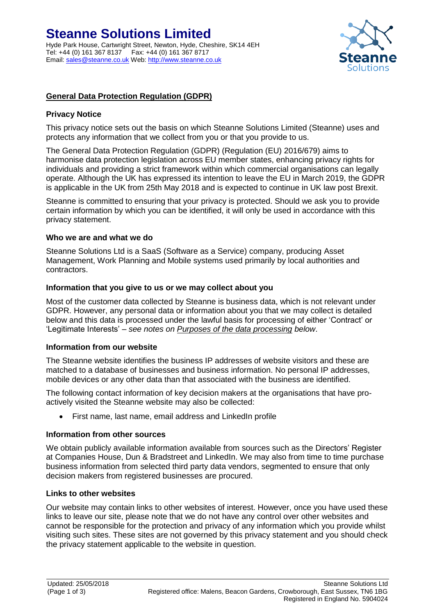

# **General Data Protection Regulation (GDPR)**

#### **Privacy Notice**

This privacy notice sets out the basis on which Steanne Solutions Limited (Steanne) uses and protects any information that we collect from you or that you provide to us.

The General Data Protection Regulation (GDPR) (Regulation (EU) 2016/679) aims to harmonise data protection legislation across EU member states, enhancing privacy rights for individuals and providing a strict framework within which commercial organisations can legally operate. Although the UK has expressed its intention to leave the EU in March 2019, the GDPR is applicable in the UK from 25th May 2018 and is expected to continue in UK law post Brexit.

Steanne is committed to ensuring that your privacy is protected. Should we ask you to provide certain information by which you can be identified, it will only be used in accordance with this privacy statement.

#### **Who we are and what we do**

Steanne Solutions Ltd is a SaaS (Software as a Service) company, producing Asset Management, Work Planning and Mobile systems used primarily by local authorities and contractors.

#### **Information that you give to us or we may collect about you**

Most of the customer data collected by Steanne is business data, which is not relevant under GDPR. However, any personal data or information about you that we may collect is detailed below and this data is processed under the lawful basis for processing of either 'Contract' or 'Legitimate Interests' *– see notes on Purposes of the data processing below*.

#### **Information from our website**

The Steanne website identifies the business IP addresses of website visitors and these are matched to a database of businesses and business information. No personal IP addresses, mobile devices or any other data than that associated with the business are identified.

The following contact information of key decision makers at the organisations that have proactively visited the Steanne website may also be collected:

• First name, last name, email address and LinkedIn profile

#### **Information from other sources**

We obtain publicly available information available from sources such as the Directors' Register at Companies House, Dun & Bradstreet and LinkedIn. We may also from time to time purchase business information from selected third party data vendors, segmented to ensure that only decision makers from registered businesses are procured.

#### **Links to other websites**

Our website may contain links to other websites of interest. However, once you have used these links to leave our site, please note that we do not have any control over other websites and cannot be responsible for the protection and privacy of any information which you provide whilst visiting such sites. These sites are not governed by this privacy statement and you should check the privacy statement applicable to the website in question.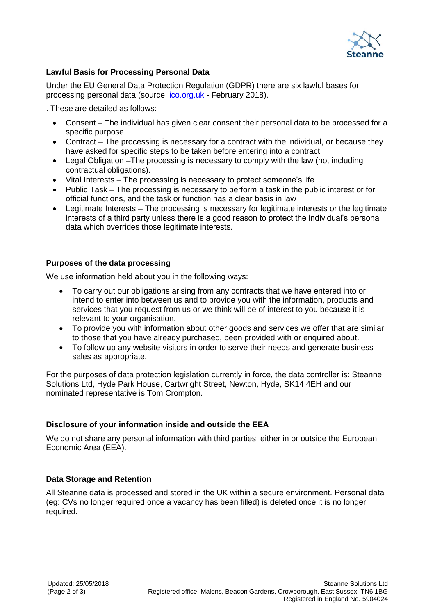

# **Lawful Basis for Processing Personal Data**

Under the EU General Data Protection Regulation (GDPR) there are six lawful bases for processing personal data (source: [ico.org.uk](http://ico.org.uk/) - February 2018).

. These are detailed as follows:

- Consent The individual has given clear consent their personal data to be processed for a specific purpose
- Contract The processing is necessary for a contract with the individual, or because they have asked for specific steps to be taken before entering into a contract
- Legal Obligation –The processing is necessary to comply with the law (not including contractual obligations).
- Vital Interests The processing is necessary to protect someone's life.
- Public Task The processing is necessary to perform a task in the public interest or for official functions, and the task or function has a clear basis in law
- Legitimate Interests The processing is necessary for legitimate interests or the legitimate interests of a third party unless there is a good reason to protect the individual's personal data which overrides those legitimate interests.

## **Purposes of the data processing**

We use information held about you in the following ways:

- To carry out our obligations arising from any contracts that we have entered into or intend to enter into between us and to provide you with the information, products and services that you request from us or we think will be of interest to you because it is relevant to your organisation.
- To provide you with information about other goods and services we offer that are similar to those that you have already purchased, been provided with or enquired about.
- To follow up any website visitors in order to serve their needs and generate business sales as appropriate.

For the purposes of data protection legislation currently in force, the data controller is: Steanne Solutions Ltd, Hyde Park House, Cartwright Street, Newton, Hyde, SK14 4EH and our nominated representative is Tom Crompton.

## **Disclosure of your information inside and outside the EEA**

We do not share any personal information with third parties, either in or outside the European Economic Area (EEA).

## **Data Storage and Retention**

All Steanne data is processed and stored in the UK within a secure environment. Personal data (eg: CVs no longer required once a vacancy has been filled) is deleted once it is no longer required.